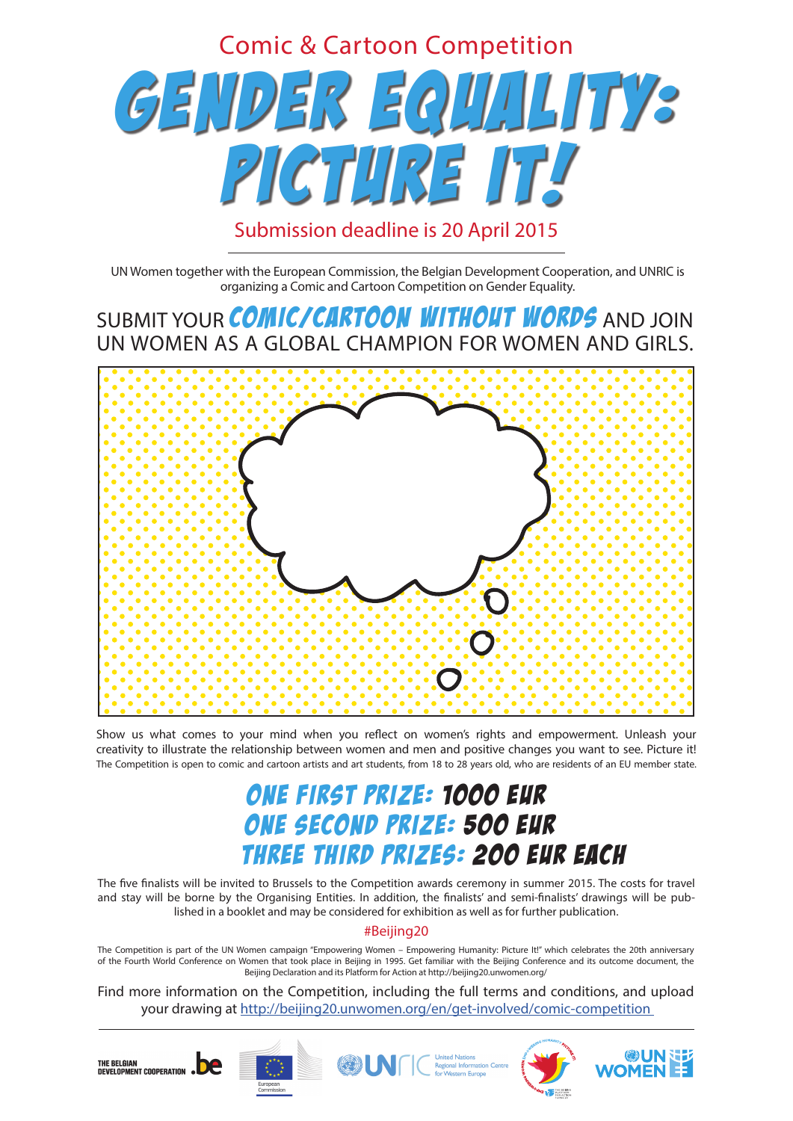Find more information on the Competition, including the full terms and conditions, and upload your drawing at http://beijing20.unwomen.org/en/get-involved/comic-competition



# GENDER EQUALITY: PICTURE IT! Comic & Cartoon Competition Submission deadline is 20 April 2015

## ONE FIRST PRIZE: 1000 EUR ONE SECOND PRIZE: 500 EUR THREE THIRD PRIZES: 200 EUR EACH

The five finalists will be invited to Brussels to the Competition awards ceremony in summer 2015. The costs for travel and stay will be borne by the Organising Entities. In addition, the finalists' and semi-finalists' drawings will be published in a booklet and may be considered for exhibition as well as for further publication.

SUBMIT YOUR COMIC/CARTOON WITHOUT WORDS AND JOIN UN WOMEN AS A GLOBAL CHAMPION FOR WOMEN AND GIRLS.



Show us what comes to your mind when you reflect on women's rights and empowerment. Unleash your creativity to illustrate the relationship between women and men and positive changes you want to see. Picture it! The Competition is open to comic and cartoon artists and art students, from 18 to 28 years old, who are residents of an EU member state.

UN Women together with the European Commission, the Belgian Development Cooperation, and UNRIC is organizing a Comic and Cartoon Competition on Gender Equality.

The Competition is part of the UN Women campaign "Empowering Women – Empowering Humanity: Picture It!" which celebrates the 20th anniversary of the Fourth World Conference on Women that took place in Beijing in 1995. Get familiar with the Beijing Conference and its outcome document, the Beijing Declaration and its Platform for Action at http://beijing20.unwomen.org/

### #Beijing20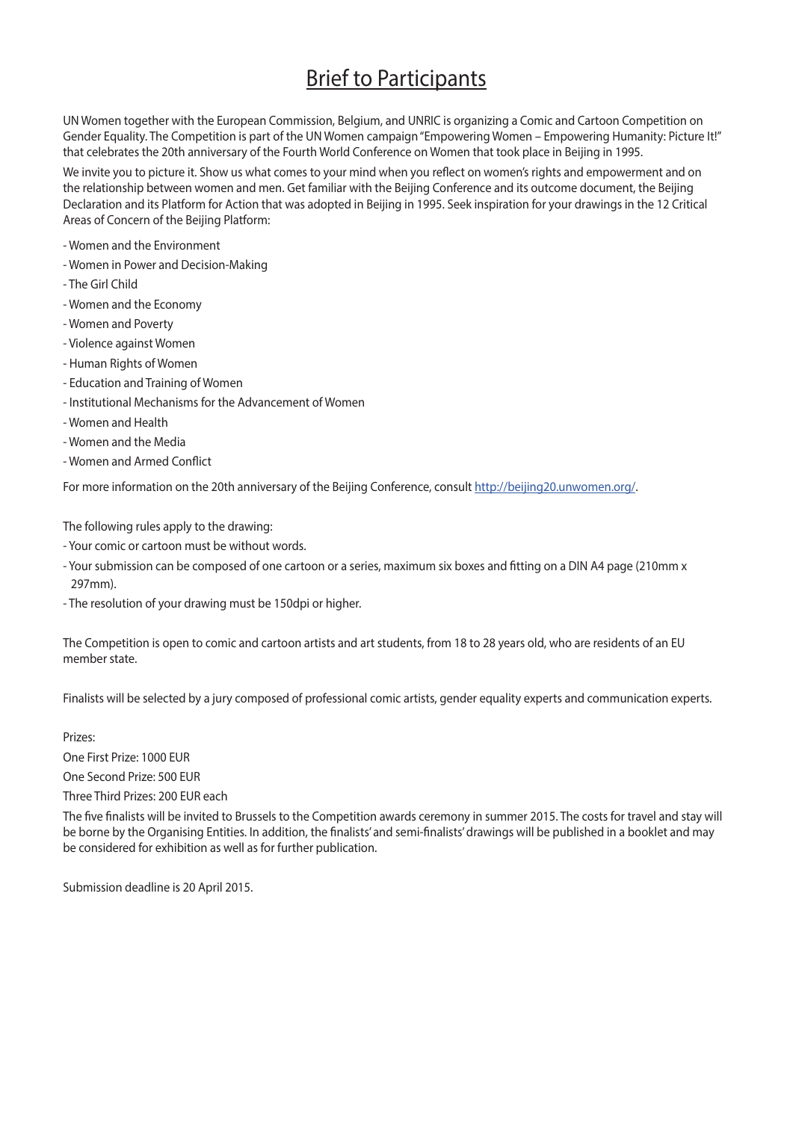## **Brief to Participants**

UN Women together with the European Commission, Belgium, and UNRIC is organizing a Comic and Cartoon Competition on Gender Equality. The Competition is part of the UN Women campaign "Empowering Women – Empowering Humanity: Picture It!" that celebrates the 20th anniversary of the Fourth World Conference on Women that took place in Beijing in 1995.

We invite you to picture it. Show us what comes to your mind when you reflect on women's rights and empowerment and on the relationship between women and men. Get familiar with the Beijing Conference and its outcome document, the Beijing Declaration and its Platform for Action that was adopted in Beijing in 1995. Seek inspiration for your drawings in the 12 Critical Areas of Concern of the Beijing Platform:

- Women and the Environment
- Women in Power and Decision-Making
- The Girl Child
- Women and the Economy
- Women and Poverty
- Violence against Women
- Human Rights of Women
- Education and Training of Women
- Institutional Mechanisms for the Advancement of Women
- Women and Health
- Women and the Media
- Women and Armed Conflict

For more information on the 20th anniversary of the Beijing Conference, consult http://beijing20.unwomen.org/.

The following rules apply to the drawing:

- Your comic or cartoon must be without words.
- Your submission can be composed of one cartoon or a series, maximum six boxes and fitting on a DIN A4 page (210mm x 297mm).
- 

- The resolution of your drawing must be 150dpi or higher.

The Competition is open to comic and cartoon artists and art students, from 18 to 28 years old, who are residents of an EU member state.

Finalists will be selected by a jury composed of professional comic artists, gender equality experts and communication experts.

Prizes:

One First Prize: 1000 EUR

One Second Prize: 500 EUR

Three Third Prizes: 200 EUR each

The five finalists will be invited to Brussels to the Competition awards ceremony in summer 2015. The costs for travel and stay will be borne by the Organising Entities. In addition, the finalists' and semi-finalists' drawings will be published in a booklet and may be considered for exhibition as well as for further publication.

Submission deadline is 20 April 2015.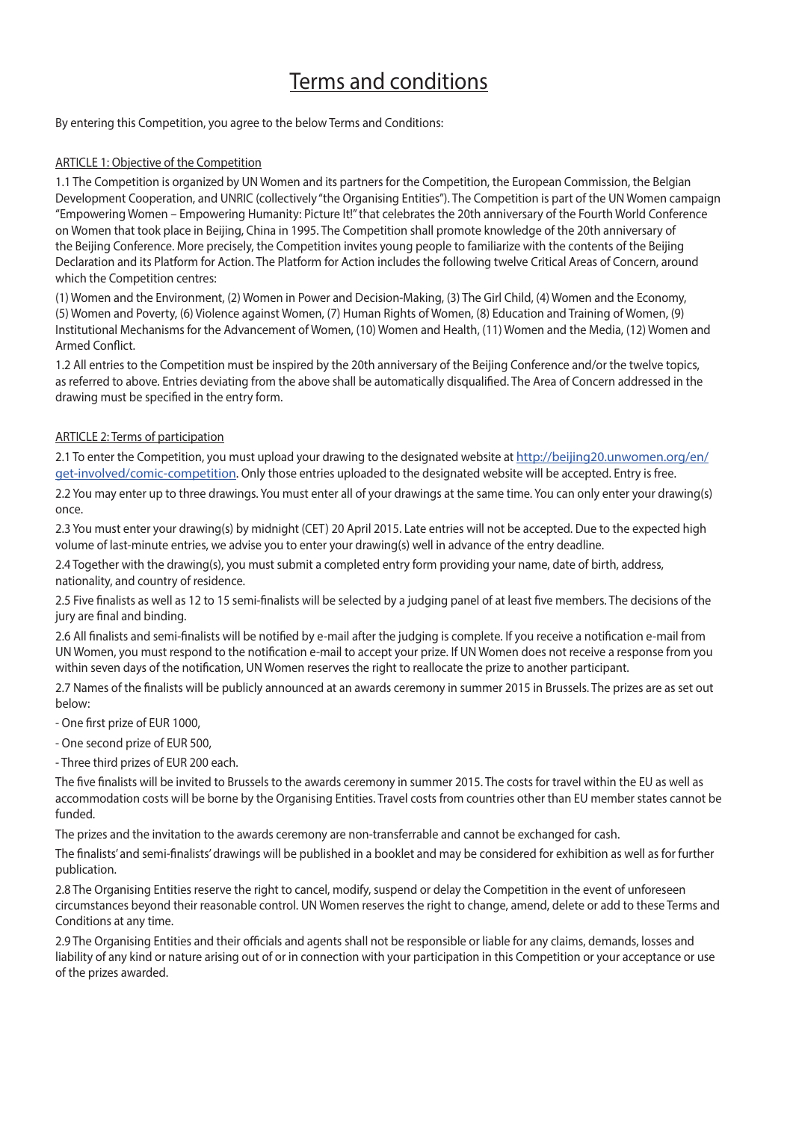## Terms and conditions

By entering this Competition, you agree to the below Terms and Conditions:

#### ARTICLE 1: Objective of the Competition

1.1 The Competition is organized by UN Women and its partners for the Competition, the European Commission, the Belgian Development Cooperation, and UNRIC (collectively "the Organising Entities"). The Competition is part of the UN Women campaign "Empowering Women – Empowering Humanity: Picture It!" that celebrates the 20th anniversary of the Fourth World Conference on Women that took place in Beijing, China in 1995. The Competition shall promote knowledge of the 20th anniversary of the Beijing Conference. More precisely, the Competition invites young people to familiarize with the contents of the Beijing Declaration and its Platform for Action. The Platform for Action includes the following twelve Critical Areas of Concern, around which the Competition centres:

(1) Women and the Environment, (2) Women in Power and Decision-Making, (3) The Girl Child, (4) Women and the Economy, (5) Women and Poverty, (6) Violence against Women, (7) Human Rights of Women, (8) Education and Training of Women, (9) Institutional Mechanisms for the Advancement of Women, (10) Women and Health, (11) Women and the Media, (12) Women and Armed Conflict.

1.2 All entries to the Competition must be inspired by the 20th anniversary of the Beijing Conference and/or the twelve topics, as referred to above. Entries deviating from the above shall be automatically disqualified. The Area of Concern addressed in the drawing must be specified in the entry form.

#### ARTICLE 2: Terms of participation

2.1 To enter the Competition, you must upload your drawing to the designated website at http://beijing20.unwomen.org/en/ get-involved/comic-competition. Only those entries uploaded to the designated website will be accepted. Entry is free.

2.2 You may enter up to three drawings. You must enter all of your drawings at the same time. You can only enter your drawing(s) once.

2.3 You must enter your drawing(s) by midnight (CET) 20 April 2015. Late entries will not be accepted. Due to the expected high volume of last-minute entries, we advise you to enter your drawing(s) well in advance of the entry deadline.

2.4 Together with the drawing(s), you must submit a completed entry form providing your name, date of birth, address, nationality, and country of residence.

2.5 Five finalists as well as 12 to 15 semi-finalists will be selected by a judging panel of at least five members. The decisions of the jury are final and binding.

2.6 All finalists and semi-finalists will be notified by e-mail after the judging is complete. If you receive a notification e-mail from UN Women, you must respond to the notification e-mail to accept your prize. If UN Women does not receive a response from you within seven days of the notification, UN Women reserves the right to reallocate the prize to another participant.

2.7 Names of the finalists will be publicly announced at an awards ceremony in summer 2015 in Brussels. The prizes are as set out below:

- One first prize of EUR 1000,

- One second prize of EUR 500,

- Three third prizes of EUR 200 each.

The five finalists will be invited to Brussels to the awards ceremony in summer 2015. The costs for travel within the EU as well as accommodation costs will be borne by the Organising Entities. Travel costs from countries other than EU member states cannot be funded.

The prizes and the invitation to the awards ceremony are non-transferrable and cannot be exchanged for cash.

The finalists' and semi-finalists' drawings will be published in a booklet and may be considered for exhibition as well as for further publication.

2.8 The Organising Entities reserve the right to cancel, modify, suspend or delay the Competition in the event of unforeseen circumstances beyond their reasonable control. UN Women reserves the right to change, amend, delete or add to these Terms and Conditions at any time.

2.9 The Organising Entities and their officials and agents shall not be responsible or liable for any claims, demands, losses and liability of any kind or nature arising out of or in connection with your participation in this Competition or your acceptance or use of the prizes awarded.